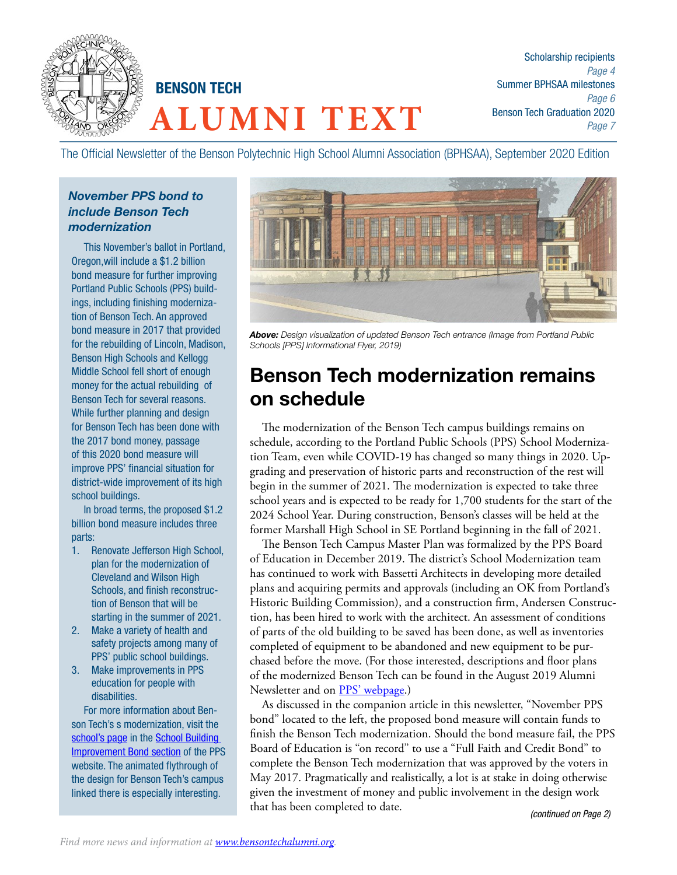

**ALUMNI TEXT** BENSON TECH

Scholarship recipients *Page 4* Summer BPHSAA milestones *Page 6* Benson Tech Graduation 2020 *Page 7*

The Official Newsletter of the Benson Polytechnic High School Alumni Association (BPHSAA), September 2020 Edition

#### *November PPS bond to include Benson Tech modernization*

This November's ballot in Portland, Oregon,will include a \$1.2 billion bond measure for further improving Portland Public Schools (PPS) buildings, including finishing modernization of Benson Tech. An approved bond measure in 2017 that provided for the rebuilding of Lincoln, Madison, Benson High Schools and Kellogg Middle School fell short of enough money for the actual rebuilding of Benson Tech for several reasons. While further planning and design for Benson Tech has been done with the 2017 bond money, passage of this 2020 bond measure will improve PPS' financial situation for district-wide improvement of its high school buildings.

In broad terms, the proposed \$1.2 billion bond measure includes three parts:

- 1. Renovate Jefferson High School, plan for the modernization of Cleveland and Wilson High Schools, and finish reconstruction of Benson that will be starting in the summer of 2021.
- 2. Make a variety of health and safety projects among many of PPS' public school buildings.
- 3. Make improvements in PPS education for people with disabilities.

For more information about Benson Tech's s modernization, visit the school's page in the School Building Improvement Bond section of the PPS website. The animated flythrough of the design for Benson Tech's campus linked there is especially interesting.



*Above: Design visualization of updated Benson Tech entrance (Image from Portland Public Schools [PPS] Informational Flyer, 2019)*

# Benson Tech modernization remains on schedule

The modernization of the Benson Tech campus buildings remains on schedule, according to the Portland Public Schools (PPS) School Modernization Team, even while COVID-19 has changed so many things in 2020. Upgrading and preservation of historic parts and reconstruction of the rest will begin in the summer of 2021. The modernization is expected to take three school years and is expected to be ready for 1,700 students for the start of the 2024 School Year. During construction, Benson's classes will be held at the former Marshall High School in SE Portland beginning in the fall of 2021.

The Benson Tech Campus Master Plan was formalized by the PPS Board of Education in December 2019. The district's School Modernization team has continued to work with Bassetti Architects in developing more detailed plans and acquiring permits and approvals (including an OK from Portland's Historic Building Commission), and a construction firm, Andersen Construction, has been hired to work with the architect. An assessment of conditions of parts of the old building to be saved has been done, as well as inventories completed of equipment to be abandoned and new equipment to be purchased before the move. (For those interested, descriptions and floor plans of the modernized Benson Tech can be found in the August 2019 Alumni Newsletter and on PPS' webpage.)

As discussed in the companion article in this newsletter, "November PPS bond" located to the left, the proposed bond measure will contain funds to finish the Benson Tech modernization. Should the bond measure fail, the PPS Board of Education is "on record" to use a "Full Faith and Credit Bond" to complete the Benson Tech modernization that was approved by the voters in May 2017. Pragmatically and realistically, a lot is at stake in doing otherwise given the investment of money and public involvement in the design work that has been completed to date. *(continued on Page 2)*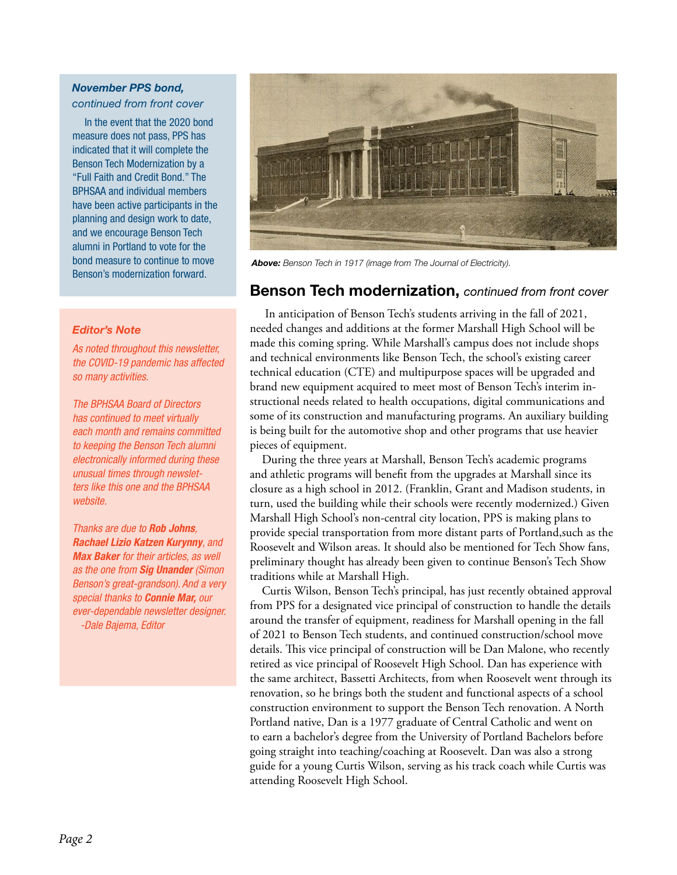#### *November PPS bond,*

*continued from front cover*

In the event that the 2020 bond measure does not pass, PPS has indicated that it will complete the Benson Tech Modernization by a "Full Faith and Credit Bond." The BPHSAA and individual members have been active participants in the planning and design work to date, and we encourage Benson Tech alumni in Portland to vote for the bond measure to continue to move Benson's modernization forward.

#### *Editor's Note*

*As noted throughout this newsletter, the COVID-19 pandemic has affected so many activities.* 

*The BPHSAA Board of Directors has continued to meet virtually each month and remains committed to keeping the Benson Tech alumni electronically informed during these unusual times through newsletters like this one and the BPHSAA website.* 

*Thanks are due to Rob Johns, Rachael Lizio Katzen Kurynny, and Max Baker for their articles, as well as the one from Sig Unander (Simon Benson's great-grandson). And a very special thanks to Connie Mar, our ever-dependable newsletter designer. -Dale Bajema, Editor*



*Above: Benson Tech in 1917 (image from The Journal of Electricity).*

#### Benson Tech modernization, *continued from front cover*

 In anticipation of Benson Tech's students arriving in the fall of 2021, needed changes and additions at the former Marshall High School will be made this coming spring. While Marshall's campus does not include shops and technical environments like Benson Tech, the school's existing career technical education (CTE) and multipurpose spaces will be upgraded and brand new equipment acquired to meet most of Benson Tech's interim instructional needs related to health occupations, digital communications and some of its construction and manufacturing programs. An auxiliary building is being built for the automotive shop and other programs that use heavier pieces of equipment.

During the three years at Marshall, Benson Tech's academic programs and athletic programs will benefit from the upgrades at Marshall since its closure as a high school in 2012. (Franklin, Grant and Madison students, in turn, used the building while their schools were recently modernized.) Given Marshall High School's non-central city location, PPS is making plans to provide special transportation from more distant parts of Portland,such as the Roosevelt and Wilson areas. It should also be mentioned for Tech Show fans, preliminary thought has already been given to continue Benson's Tech Show traditions while at Marshall High.

Curtis Wilson, Benson Tech's principal, has just recently obtained approval from PPS for a designated vice principal of construction to handle the details around the transfer of equipment, readiness for Marshall opening in the fall of 2021 to Benson Tech students, and continued construction/school move details. This vice principal of construction will be Dan Malone, who recently retired as vice principal of Roosevelt High School. Dan has experience with the same architect, Bassetti Architects, from when Roosevelt went through its renovation, so he brings both the student and functional aspects of a school construction environment to support the Benson Tech renovation. A North Portland native, Dan is a 1977 graduate of Central Catholic and went on to earn a bachelor's degree from the University of Portland Bachelors before going straight into teaching/coaching at Roosevelt. Dan was also a strong guide for a young Curtis Wilson, serving as his track coach while Curtis was attending Roosevelt High School.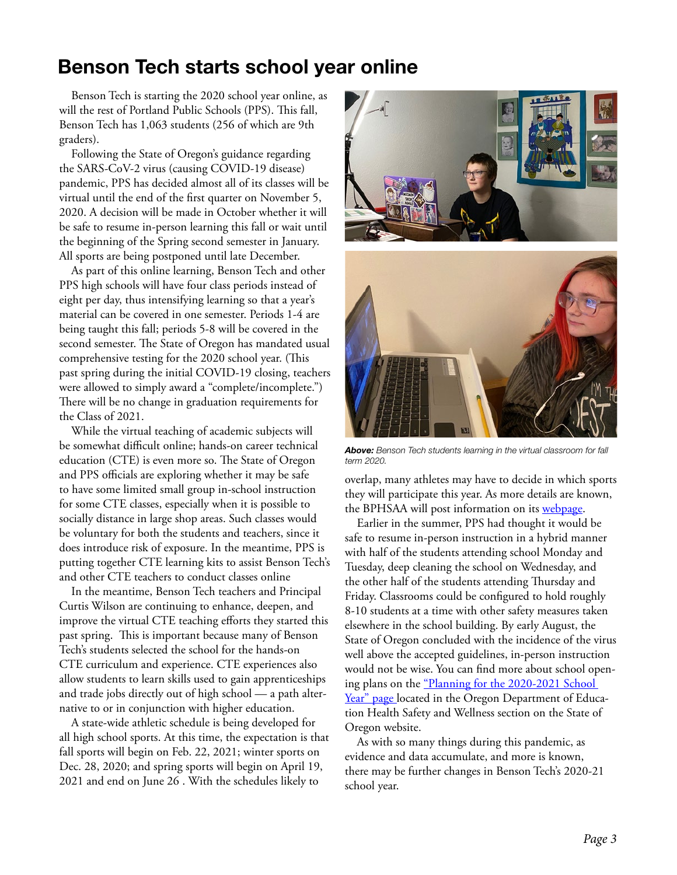# Benson Tech starts school year online

Benson Tech is starting the 2020 school year online, as will the rest of Portland Public Schools (PPS). This fall, Benson Tech has 1,063 students (256 of which are 9th graders).

Following the State of Oregon's guidance regarding the SARS-CoV-2 virus (causing COVID-19 disease) pandemic, PPS has decided almost all of its classes will be virtual until the end of the first quarter on November 5, 2020. A decision will be made in October whether it will be safe to resume in-person learning this fall or wait until the beginning of the Spring second semester in January. All sports are being postponed until late December.

As part of this online learning, Benson Tech and other PPS high schools will have four class periods instead of eight per day, thus intensifying learning so that a year's material can be covered in one semester. Periods 1-4 are being taught this fall; periods 5-8 will be covered in the second semester. The State of Oregon has mandated usual comprehensive testing for the 2020 school year. (This past spring during the initial COVID-19 closing, teachers were allowed to simply award a "complete/incomplete.") There will be no change in graduation requirements for the Class of 2021.

While the virtual teaching of academic subjects will be somewhat difficult online; hands-on career technical education (CTE) is even more so. The State of Oregon and PPS officials are exploring whether it may be safe to have some limited small group in-school instruction for some CTE classes, especially when it is possible to socially distance in large shop areas. Such classes would be voluntary for both the students and teachers, since it does introduce risk of exposure. In the meantime, PPS is putting together CTE learning kits to assist Benson Tech's and other CTE teachers to conduct classes online

In the meantime, Benson Tech teachers and Principal Curtis Wilson are continuing to enhance, deepen, and improve the virtual CTE teaching efforts they started this past spring. This is important because many of Benson Tech's students selected the school for the hands-on CTE curriculum and experience. CTE experiences also allow students to learn skills used to gain apprenticeships and trade jobs directly out of high school — a path alternative to or in conjunction with higher education.

A state-wide athletic schedule is being developed for all high school sports. At this time, the expectation is that fall sports will begin on Feb. 22, 2021; winter sports on Dec. 28, 2020; and spring sports will begin on April 19, 2021 and end on June 26 . With the schedules likely to



*Above: Benson Tech students learning in the virtual classroom for fall term 2020.*

overlap, many athletes may have to decide in which sports they will participate this year. As more details are known, the BPHSAA will post information on its webpage.

Earlier in the summer, PPS had thought it would be safe to resume in-person instruction in a hybrid manner with half of the students attending school Monday and Tuesday, deep cleaning the school on Wednesday, and the other half of the students attending Thursday and Friday. Classrooms could be configured to hold roughly 8-10 students at a time with other safety measures taken elsewhere in the school building. By early August, the State of Oregon concluded with the incidence of the virus well above the accepted guidelines, in-person instruction would not be wise. You can find more about school opening plans on the "Planning for the 2020-2021 School Year" page located in the Oregon Department of Education Health Safety and Wellness section on the State of Oregon website.

As with so many things during this pandemic, as evidence and data accumulate, and more is known, there may be further changes in Benson Tech's 2020-21 school year.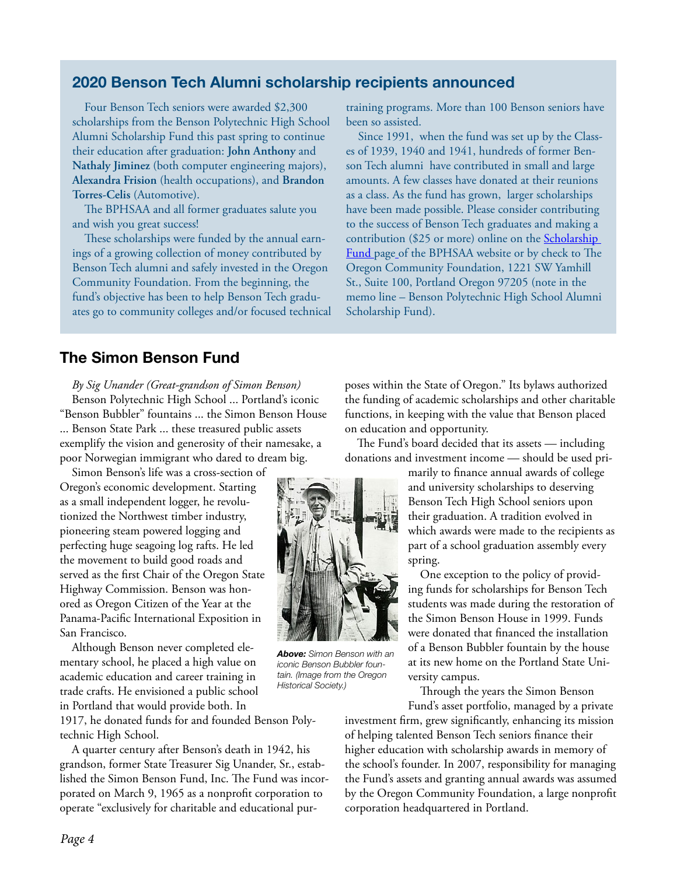## 2020 Benson Tech Alumni scholarship recipients announced

Four Benson Tech seniors were awarded \$2,300 scholarships from the Benson Polytechnic High School Alumni Scholarship Fund this past spring to continue their education after graduation: **John Anthony** and **Nathaly Jiminez** (both computer engineering majors), **Alexandra Frision** (health occupations), and **Brandon Torres-Celis** (Automotive).

The BPHSAA and all former graduates salute you and wish you great success!

These scholarships were funded by the annual earnings of a growing collection of money contributed by Benson Tech alumni and safely invested in the Oregon Community Foundation. From the beginning, the fund's objective has been to help Benson Tech graduates go to community colleges and/or focused technical training programs. More than 100 Benson seniors have been so assisted.

Since 1991, when the fund was set up by the Classes of 1939, 1940 and 1941, hundreds of former Benson Tech alumni have contributed in small and large amounts. A few classes have donated at their reunions as a class. As the fund has grown, larger scholarships have been made possible. Please consider contributing to the success of Benson Tech graduates and making a contribution (\$25 or more) online on the Scholarship Fund page of the BPHSAA website or by check to The Oregon Community Foundation, 1221 SW Yamhill St., Suite 100, Portland Oregon 97205 (note in the memo line – Benson Polytechnic High School Alumni Scholarship Fund).

## The Simon Benson Fund

*By Sig Unander (Great-grandson of Simon Benson)* Benson Polytechnic High School ... Portland's iconic "Benson Bubbler" fountains ... the Simon Benson House ... Benson State Park ... these treasured public assets exemplify the vision and generosity of their namesake, a poor Norwegian immigrant who dared to dream big.

Simon Benson's life was a cross-section of Oregon's economic development. Starting as a small independent logger, he revolutionized the Northwest timber industry, pioneering steam powered logging and perfecting huge seagoing log rafts. He led the movement to build good roads and served as the first Chair of the Oregon State Highway Commission. Benson was honored as Oregon Citizen of the Year at the Panama-Pacific International Exposition in San Francisco.

Although Benson never completed elementary school, he placed a high value on academic education and career training in trade crafts. He envisioned a public school in Portland that would provide both. In

1917, he donated funds for and founded Benson Polytechnic High School.

A quarter century after Benson's death in 1942, his grandson, former State Treasurer Sig Unander, Sr., established the Simon Benson Fund, Inc. The Fund was incorporated on March 9, 1965 as a nonprofit corporation to operate "exclusively for charitable and educational purposes within the State of Oregon." Its bylaws authorized the funding of academic scholarships and other charitable functions, in keeping with the value that Benson placed on education and opportunity.

The Fund's board decided that its assets — including donations and investment income — should be used pri-

> marily to finance annual awards of college and university scholarships to deserving Benson Tech High School seniors upon their graduation. A tradition evolved in which awards were made to the recipients as part of a school graduation assembly every spring.

> One exception to the policy of providing funds for scholarships for Benson Tech students was made during the restoration of the Simon Benson House in 1999. Funds were donated that financed the installation of a Benson Bubbler fountain by the house at its new home on the Portland State University campus.

> Through the years the Simon Benson Fund's asset portfolio, managed by a private

investment firm, grew significantly, enhancing its mission of helping talented Benson Tech seniors finance their higher education with scholarship awards in memory of the school's founder. In 2007, responsibility for managing the Fund's assets and granting annual awards was assumed by the Oregon Community Foundation, a large nonprofit corporation headquartered in Portland.



*Above: Simon Benson with an iconic Benson Bubbler fountain. (Image from the Oregon Historical Society.)*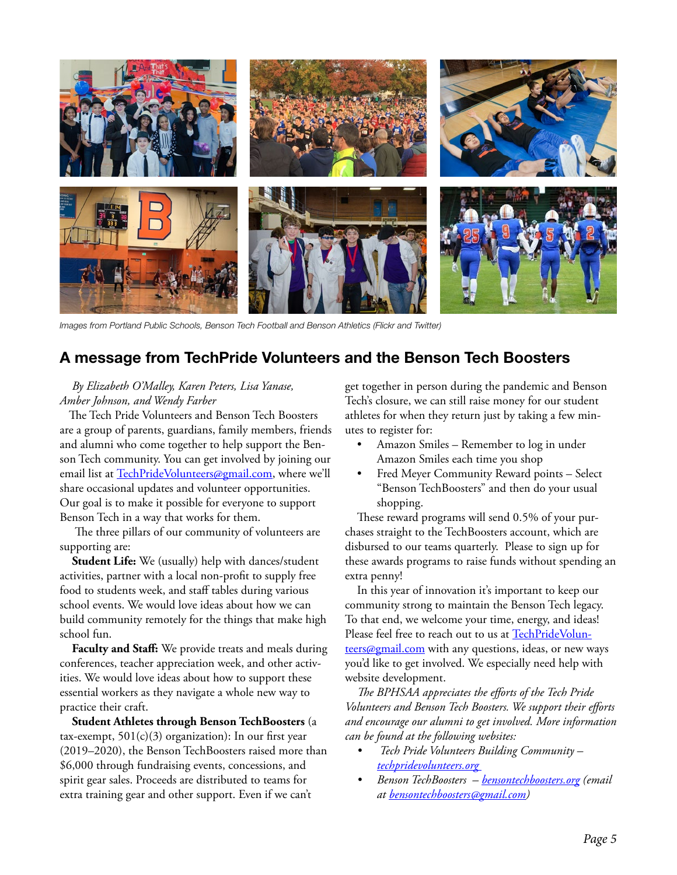

*Images from Portland Public Schools, Benson Tech Football and Benson Athletics (Flickr and Twitter)*

### A message from TechPride Volunteers and the Benson Tech Boosters

#### *By Elizabeth O'Malley, Karen Peters, Lisa Yanase, Amber Johnson, and Wendy Farber*

 The Tech Pride Volunteers and Benson Tech Boosters are a group of parents, guardians, family members, friends and alumni who come together to help support the Benson Tech community. You can get involved by joining our email list at TechPrideVolunteers@gmail.com, where we'll share occasional updates and volunteer opportunities. Our goal is to make it possible for everyone to support Benson Tech in a way that works for them.

 The three pillars of our community of volunteers are supporting are:

**Student Life:** We (usually) help with dances/student activities, partner with a local non-profit to supply free food to students week, and staff tables during various school events. We would love ideas about how we can build community remotely for the things that make high school fun.

**Faculty and Staff:** We provide treats and meals during conferences, teacher appreciation week, and other activities. We would love ideas about how to support these essential workers as they navigate a whole new way to practice their craft.

**Student Athletes through Benson TechBoosters** (a tax-exempt,  $501(c)(3)$  organization): In our first year (2019–2020), the Benson TechBoosters raised more than \$6,000 through fundraising events, concessions, and spirit gear sales. Proceeds are distributed to teams for extra training gear and other support. Even if we can't

get together in person during the pandemic and Benson Tech's closure, we can still raise money for our student athletes for when they return just by taking a few minutes to register for:

- Amazon Smiles Remember to log in under Amazon Smiles each time you shop
- Fred Meyer Community Reward points Select "Benson TechBoosters" and then do your usual shopping.

These reward programs will send 0.5% of your purchases straight to the TechBoosters account, which are disbursed to our teams quarterly. Please to sign up for these awards programs to raise funds without spending an extra penny!

In this year of innovation it's important to keep our community strong to maintain the Benson Tech legacy. To that end, we welcome your time, energy, and ideas! Please feel free to reach out to us at TechPrideVolunteers@gmail.com with any questions, ideas, or new ways you'd like to get involved. We especially need help with website development.

*The BPHSAA appreciates the efforts of the Tech Pride Volunteers and Benson Tech Boosters. We support their efforts and encourage our alumni to get involved. More information can be found at the following websites:*

- *Tech Pride Volunteers Building Community techpridevolunteers.org*
- *• Benson TechBoosters bensontechboosters.org (email at bensontechboosters@gmail.com)*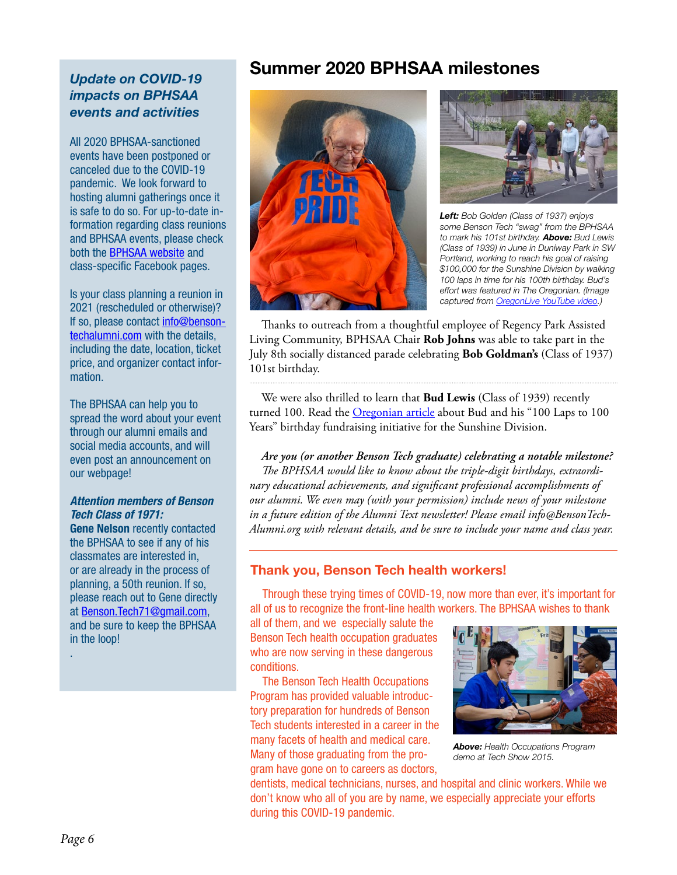## *Update on COVID-19 impacts on BPHSAA events and activities*

All 2020 BPHSAA-sanctioned events have been postponed or canceled due to the COVID-19 pandemic. We look forward to hosting alumni gatherings once it is safe to do so. For up-to-date information regarding class reunions and BPHSAA events, please check both the BPHSAA website and class-specific Facebook pages.

Is your class planning a reunion in 2021 (rescheduled or otherwise)? If so, please contact info@bensontechalumni.com with the details, including the date, location, ticket price, and organizer contact information.

The BPHSAA can help you to spread the word about your event through our alumni emails and social media accounts, and will even post an announcement on our webpage!

#### *Attention members of Benson Tech Class of 1971:*

Gene Nelson recently contacted the BPHSAA to see if any of his classmates are interested in, or are already in the process of planning, a 50th reunion. If so, please reach out to Gene directly at Benson.Tech71@gmail.com, and be sure to keep the BPHSAA in the loop!

## Summer 2020 BPHSAA milestones





*Left: Bob Golden (Class of 1937) enjoys some Benson Tech "swag" from the BPHSAA to mark his 101st birthday. Above: Bud Lewis (Class of 1939) in June in Duniway Park in SW Portland, working to reach his goal of raising \$100,000 for the Sunshine Division by walking 100 laps in time for his 100th birthday. Bud's effort was featured in The Oregonian. (Image captured from OregonLive YouTube video.)*

Thanks to outreach from a thoughtful employee of Regency Park Assisted Living Community, BPHSAA Chair **Rob Johns** was able to take part in the July 8th socially distanced parade celebrating **Bob Goldman's** (Class of 1937) 101st birthday.

We were also thrilled to learn that **Bud Lewis** (Class of 1939) recently turned 100. Read the Oregonian article about Bud and his "100 Laps to 100 Years" birthday fundraising initiative for the Sunshine Division.

*Are you (or another Benson Tech graduate) celebrating a notable milestone? The BPHSAA would like to know about the triple-digit birthdays, extraordinary educational achievements, and significant professional accomplishments of our alumni. We even may (with your permission) include news of your milestone in a future edition of the Alumni Text newsletter! Please email info@BensonTech-Alumni.org with relevant details, and be sure to include your name and class year.*

#### Thank you, Benson Tech health workers!

Through these trying times of COVID-19, now more than ever, it's important for all of us to recognize the front-line health workers. The BPHSAA wishes to thank

all of them, and we especially salute the Benson Tech health occupation graduates who are now serving in these dangerous conditions.

The Benson Tech Health Occupations Program has provided valuable introductory preparation for hundreds of Benson Tech students interested in a career in the many facets of health and medical care. Many of those graduating from the program have gone on to careers as doctors,



*Above: Health Occupations Program demo at Tech Show 2015.*

dentists, medical technicians, nurses, and hospital and clinic workers. While we don't know who all of you are by name, we especially appreciate your efforts during this COVID-19 pandemic.

.